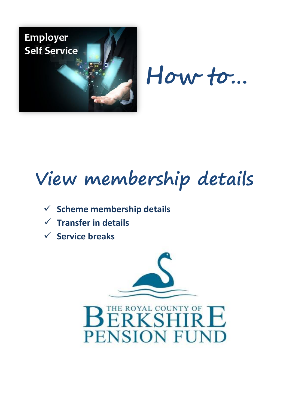

**How to…**

# **View membership details**

- **Scheme membership details**
- **Transfer in details**
- **Service breaks**

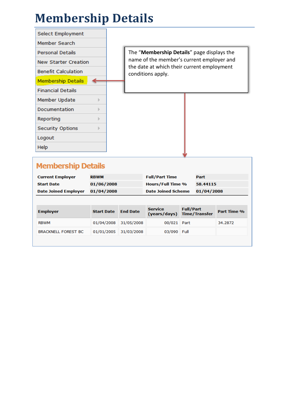### **Membership Details**

| Select Employment           |    |                                            |                                                                 |  |  |
|-----------------------------|----|--------------------------------------------|-----------------------------------------------------------------|--|--|
| Member Search               |    |                                            |                                                                 |  |  |
| <b>Personal Details</b>     |    | The "Membership Details" page displays the |                                                                 |  |  |
| <b>New Starter Creation</b> |    |                                            | name of the member's current employer and                       |  |  |
| <b>Benefit Calculation</b>  |    |                                            | the date at which their current employment<br>conditions apply. |  |  |
| <b>Membership Details</b>   |    |                                            |                                                                 |  |  |
| <b>Financial Details</b>    |    |                                            |                                                                 |  |  |
| Member Update               | þ. |                                            |                                                                 |  |  |
| Documentation               |    |                                            |                                                                 |  |  |
| Reporting                   |    |                                            |                                                                 |  |  |
| <b>Security Options</b>     |    |                                            |                                                                 |  |  |
| Logout                      |    |                                            |                                                                 |  |  |
| Help                        |    |                                            |                                                                 |  |  |

#### **Membership Details**

| <b>Current Employer</b>         | <b>RBWM</b> | <b>Full/Part Time</b>         | Part     |
|---------------------------------|-------------|-------------------------------|----------|
| <b>Start Date</b>               | 01/06/2008  | <b>Hours/Full Time %</b>      | 58.44115 |
| Date Joined Employer 01/04/2008 |             | Date Joined Scheme 01/04/2008 |          |
|                                 |             |                               |          |

| <b>Employer</b>            | <b>Start Date</b>     | <b>End Date</b>         | <b>Service</b> | <b>Full/Part</b><br>(years/days) Time/Transfer | Part Time % |
|----------------------------|-----------------------|-------------------------|----------------|------------------------------------------------|-------------|
| <b>RBWM</b>                |                       | $01/04/2008$ 31/05/2008 | 00/021 Part    |                                                | 34.2872     |
| <b>BRACKNELL FOREST BC</b> | 01/01/2005 31/03/2008 |                         | 03/090 Full    |                                                |             |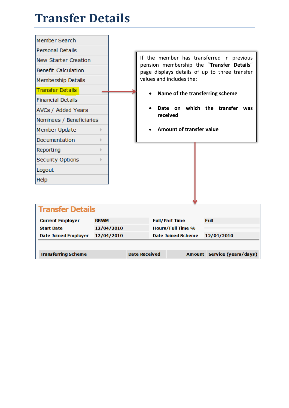#### **Transfer Details**

| Member Search               |             |            |                      |                                                  |                                 |                                                                                            |
|-----------------------------|-------------|------------|----------------------|--------------------------------------------------|---------------------------------|--------------------------------------------------------------------------------------------|
| <b>Personal Details</b>     |             |            |                      |                                                  |                                 |                                                                                            |
| New Starter Creation        |             |            |                      |                                                  |                                 | If the member has transferred in previous                                                  |
| <b>Benefit Calculation</b>  |             |            |                      |                                                  |                                 | pension membership the "Transfer Details"<br>page displays details of up to three transfer |
| Membership Details          |             |            |                      |                                                  | values and includes the:        |                                                                                            |
| <b>Transfer Details</b>     |             |            |                      | $\bullet$                                        | Name of the transferring scheme |                                                                                            |
| <b>Financial Details</b>    |             |            |                      |                                                  |                                 |                                                                                            |
| AVCs / Added Years          |             |            |                      | on which the transfer<br>Date<br>was<br>received |                                 |                                                                                            |
| Nominees / Beneficiaries    |             |            |                      |                                                  |                                 |                                                                                            |
| Member Update               |             |            |                      |                                                  | <b>Amount of transfer value</b> |                                                                                            |
| Doc umentation              |             |            |                      |                                                  |                                 |                                                                                            |
| Reporting                   | ь           |            |                      |                                                  |                                 |                                                                                            |
| Security Options            |             |            |                      |                                                  |                                 |                                                                                            |
| Logout                      |             |            |                      |                                                  |                                 |                                                                                            |
| Help                        |             |            |                      |                                                  |                                 |                                                                                            |
|                             |             |            |                      |                                                  |                                 |                                                                                            |
|                             |             |            |                      |                                                  |                                 |                                                                                            |
| <b>Transfer Details</b>     |             |            |                      |                                                  |                                 |                                                                                            |
| <b>Current Employer</b>     | <b>RBWM</b> |            |                      |                                                  | <b>Full/Part Time</b>           | Full                                                                                       |
| <b>Start Date</b>           |             | 12/04/2010 |                      |                                                  | <b>Hours/Full Time %</b>        |                                                                                            |
| <b>Date Joined Employer</b> |             | 12/04/2010 |                      |                                                  | <b>Date Joined Scheme</b>       | 12/04/2010                                                                                 |
|                             |             |            |                      |                                                  |                                 |                                                                                            |
| <b>Transferring Scheme</b>  |             |            | <b>Date Received</b> |                                                  |                                 | Amount Service (years/days)                                                                |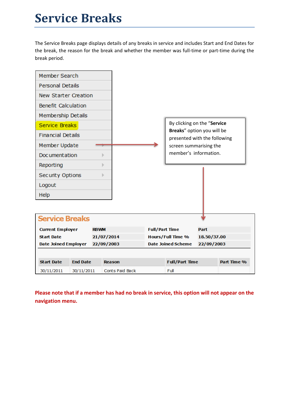#### **Service Breaks**

The Service Breaks page displays details of any breaks in service and includes Start and End Dates for the break, the reason for the break and whether the member was full-time or part-time during the break period.



**Please note that if a member has had no break in service, this option will not appear on the navigation menu.**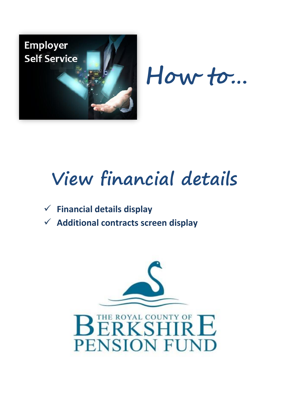

**How to…**

## **View financial details**

- **Financial details display**
- **Additional contracts screen display**

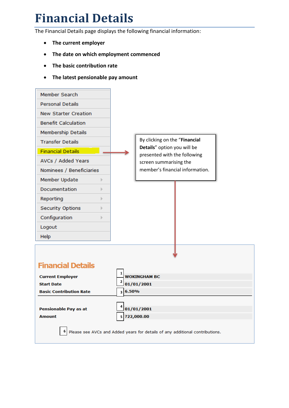### **Financial Details**

The Financial Details page displays the following financial information:

- **The current employer**
- **The date on which employment commenced**
- **The basic contribution rate**
- **The latest pensionable pay amount**